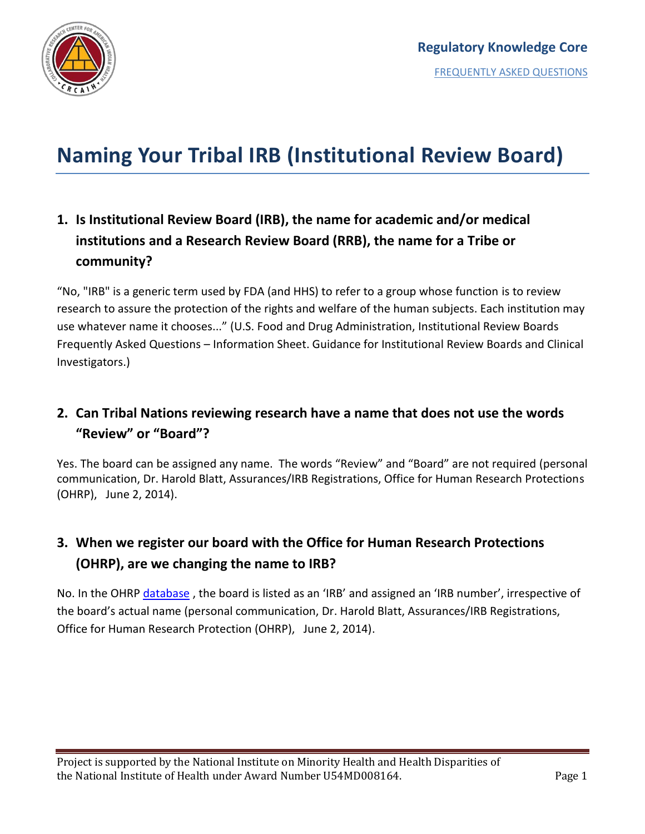

# **Naming Your Tribal IRB (Institutional Review Board)**

## **1. Is Institutional Review Board (IRB), the name for academic and/or medical institutions and a Research Review Board (RRB), the name for a Tribe or community?**

"No, "IRB" is a generic term used by FDA (and HHS) to refer to a group whose function is to review research to assure the protection of the rights and welfare of the human subjects. Each institution may use whatever name it chooses..." (U.S. Food and Drug Administration, Institutional Review Boards Frequently Asked Questions – Information Sheet. Guidance for Institutional Review Boards and Clinical Investigators.)

#### **2. Can Tribal Nations reviewing research have a name that does not use the words "Review" or "Board"?**

Yes. The board can be assigned any name. The words "Review" and "Board" are not required (personal communication, Dr. Harold Blatt, Assurances/IRB Registrations, Office for Human Research Protections (OHRP), June 2, 2014).

#### **3. When we register our board with the Office for Human Research Protections (OHRP), are we changing the name to IRB?**

No. In the OHRP [database](http://ohrp.cit.nih.gov/search/search.aspx?styp=bsc), the board is listed as an 'IRB' and assigned an 'IRB number', irrespective of the board's actual name (personal communication, Dr. Harold Blatt, Assurances/IRB Registrations, Office for Human Research Protection (OHRP), June 2, 2014).